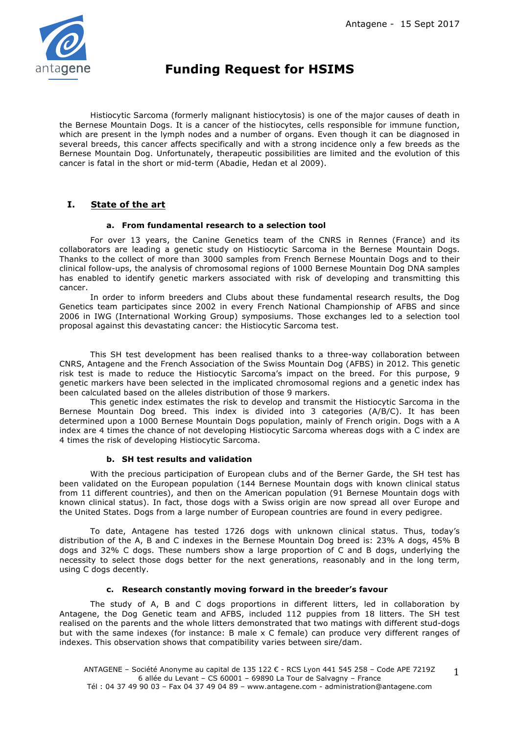

# **Funding Request for HSIMS**

Histiocytic Sarcoma (formerly malignant histiocytosis) is one of the major causes of death in the Bernese Mountain Dogs. It is a cancer of the histiocytes, cells responsible for immune function, which are present in the lymph nodes and a number of organs. Even though it can be diagnosed in several breeds, this cancer affects specifically and with a strong incidence only a few breeds as the Bernese Mountain Dog. Unfortunately, therapeutic possibilities are limited and the evolution of this cancer is fatal in the short or mid-term (Abadie, Hedan et al 2009).

## **I. State of the art**

#### **a. From fundamental research to a selection tool**

For over 13 years, the Canine Genetics team of the CNRS in Rennes (France) and its collaborators are leading a genetic study on Histiocytic Sarcoma in the Bernese Mountain Dogs. Thanks to the collect of more than 3000 samples from French Bernese Mountain Dogs and to their clinical follow-ups, the analysis of chromosomal regions of 1000 Bernese Mountain Dog DNA samples has enabled to identify genetic markers associated with risk of developing and transmitting this cancer.

In order to inform breeders and Clubs about these fundamental research results, the Dog Genetics team participates since 2002 in every French National Championship of AFBS and since 2006 in IWG (International Working Group) symposiums. Those exchanges led to a selection tool proposal against this devastating cancer: the Histiocytic Sarcoma test.

This SH test development has been realised thanks to a three-way collaboration between CNRS, Antagene and the French Association of the Swiss Mountain Dog (AFBS) in 2012. This genetic risk test is made to reduce the Histiocytic Sarcoma's impact on the breed. For this purpose, 9 genetic markers have been selected in the implicated chromosomal regions and a genetic index has been calculated based on the alleles distribution of those 9 markers.

This genetic index estimates the risk to develop and transmit the Histiocytic Sarcoma in the Bernese Mountain Dog breed. This index is divided into 3 categories (A/B/C). It has been determined upon a 1000 Bernese Mountain Dogs population, mainly of French origin. Dogs with a A index are 4 times the chance of not developing Histiocytic Sarcoma whereas dogs with a C index are 4 times the risk of developing Histiocytic Sarcoma.

## **b. SH test results and validation**

With the precious participation of European clubs and of the Berner Garde, the SH test has been validated on the European population (144 Bernese Mountain dogs with known clinical status from 11 different countries), and then on the American population (91 Bernese Mountain dogs with known clinical status). In fact, those dogs with a Swiss origin are now spread all over Europe and the United States. Dogs from a large number of European countries are found in every pedigree.

To date, Antagene has tested 1726 dogs with unknown clinical status. Thus, today's distribution of the A, B and C indexes in the Bernese Mountain Dog breed is: 23% A dogs, 45% B dogs and 32% C dogs. These numbers show a large proportion of C and B dogs, underlying the necessity to select those dogs better for the next generations, reasonably and in the long term, using C dogs decently.

#### **c. Research constantly moving forward in the breeder's favour**

The study of A, B and C dogs proportions in different litters, led in collaboration by Antagene, the Dog Genetic team and AFBS, included 112 puppies from 18 litters. The SH test realised on the parents and the whole litters demonstrated that two matings with different stud-dogs but with the same indexes (for instance: B male x C female) can produce very different ranges of indexes. This observation shows that compatibility varies between sire/dam.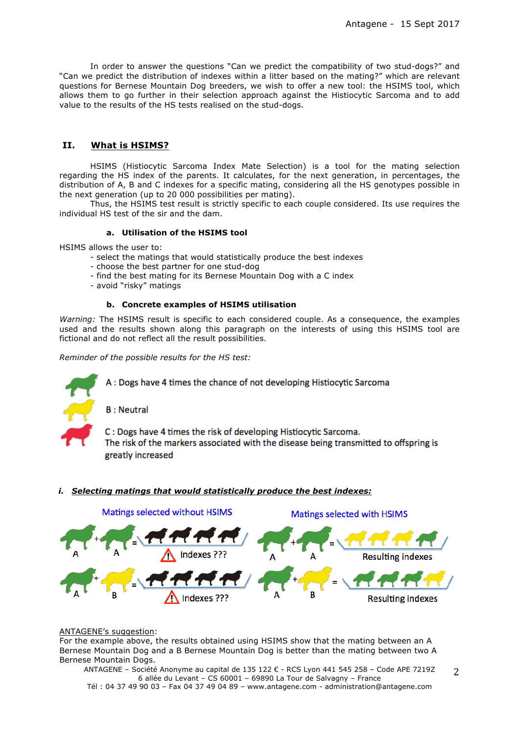In order to answer the questions "Can we predict the compatibility of two stud-dogs?" and "Can we predict the distribution of indexes within a litter based on the mating?" which are relevant questions for Bernese Mountain Dog breeders, we wish to offer a new tool: the HSIMS tool, which allows them to go further in their selection approach against the Histiocytic Sarcoma and to add value to the results of the HS tests realised on the stud-dogs.

## **II. What is HSIMS?**

HSIMS (Histiocytic Sarcoma Index Mate Selection) is a tool for the mating selection regarding the HS index of the parents. It calculates, for the next generation, in percentages, the distribution of A, B and C indexes for a specific mating, considering all the HS genotypes possible in the next generation (up to 20 000 possibilities per mating).

Thus, the HSIMS test result is strictly specific to each couple considered. Its use requires the individual HS test of the sir and the dam.

#### **a. Utilisation of the HSIMS tool**

HSIMS allows the user to:

- select the matings that would statistically produce the best indexes

- choose the best partner for one stud-dog
- find the best mating for its Bernese Mountain Dog with a C index

- avoid "risky" matings

#### **b. Concrete examples of HSIMS utilisation**

*Warning:* The HSIMS result is specific to each considered couple. As a consequence, the examples used and the results shown along this paragraph on the interests of using this HSIMS tool are fictional and do not reflect all the result possibilities.

*Reminder of the possible results for the HS test:*



A: Dogs have 4 times the chance of not developing Histiocytic Sarcoma

**B** : Neutral

C: Dogs have 4 times the risk of developing Histiocytic Sarcoma. The risk of the markers associated with the disease being transmitted to offspring is greatly increased

## *i. Selecting matings that would statistically produce the best indexes:*



#### ANTAGENE's suggestion:

For the example above, the results obtained using HSIMS show that the mating between an A Bernese Mountain Dog and a B Bernese Mountain Dog is better than the mating between two A Bernese Mountain Dogs.

ANTAGENE – Société Anonyme au capital de 135 122 € - RCS Lyon 441 545 258 – Code APE 7219Z 6 allée du Levant – CS 60001 – 69890 La Tour de Salvagny – France Tél : 04 37 49 90 03 – Fax 04 37 49 04 89 – www.antagene.com - administration@antagene.com 2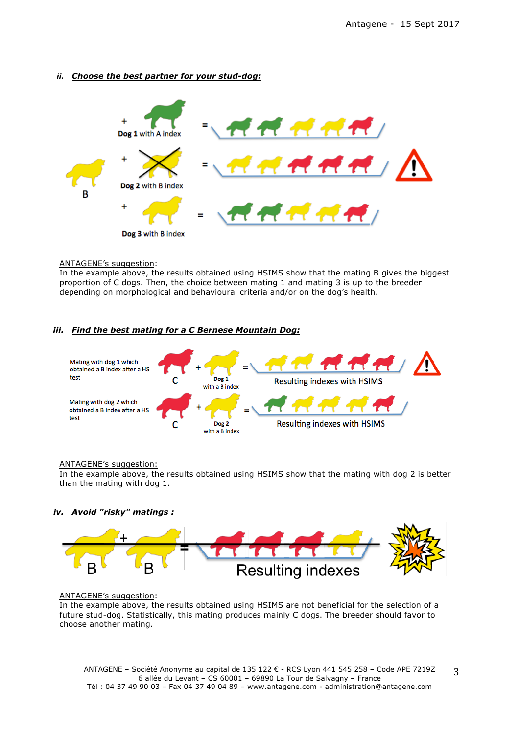## *ii. Choose the best partner for your stud-dog:*



#### ANTAGENE's suggestion:

In the example above, the results obtained using HSIMS show that the mating B gives the biggest proportion of C dogs. Then, the choice between mating 1 and mating 3 is up to the breeder depending on morphological and behavioural criteria and/or on the dog's health.

#### *iii. Find the best mating for a C Bernese Mountain Dog:*



#### ANTAGENE's suggestion:

In the example above, the results obtained using HSIMS show that the mating with dog 2 is better than the mating with dog 1.

#### *iv. Avoid "risky" matings :*



#### ANTAGENE's suggestion:

In the example above, the results obtained using HSIMS are not beneficial for the selection of a future stud-dog. Statistically, this mating produces mainly C dogs. The breeder should favor to choose another mating.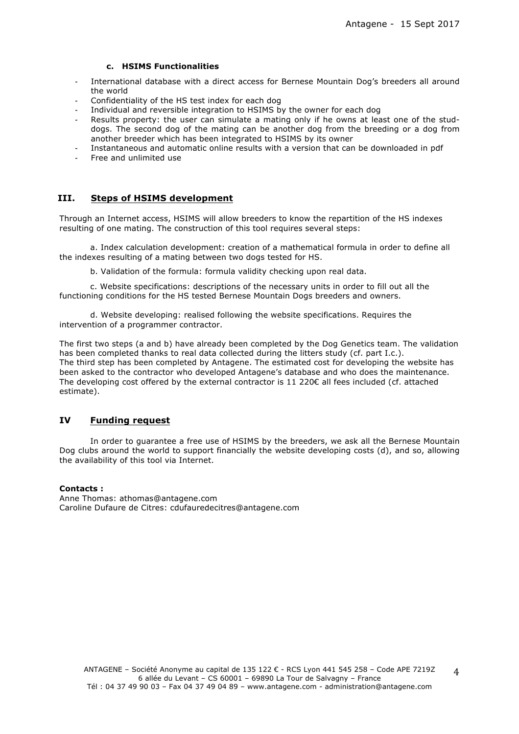#### **c. HSIMS Functionalities**

- International database with a direct access for Bernese Mountain Dog's breeders all around the world
- Confidentiality of the HS test index for each dog
- Individual and reversible integration to HSIMS by the owner for each dog
- Results property: the user can simulate a mating only if he owns at least one of the studdogs. The second dog of the mating can be another dog from the breeding or a dog from another breeder which has been integrated to HSIMS by its owner
- Instantaneous and automatic online results with a version that can be downloaded in pdf
- Free and unlimited use

## **III. Steps of HSIMS development**

Through an Internet access, HSIMS will allow breeders to know the repartition of the HS indexes resulting of one mating. The construction of this tool requires several steps:

a. Index calculation development: creation of a mathematical formula in order to define all the indexes resulting of a mating between two dogs tested for HS.

b. Validation of the formula: formula validity checking upon real data.

c. Website specifications: descriptions of the necessary units in order to fill out all the functioning conditions for the HS tested Bernese Mountain Dogs breeders and owners.

d. Website developing: realised following the website specifications. Requires the intervention of a programmer contractor.

The first two steps (a and b) have already been completed by the Dog Genetics team. The validation has been completed thanks to real data collected during the litters study (cf. part I.c.). The third step has been completed by Antagene. The estimated cost for developing the website has been asked to the contractor who developed Antagene's database and who does the maintenance. The developing cost offered by the external contractor is 11 220 $\epsilon$  all fees included (cf. attached estimate).

#### **IV Funding request**

In order to guarantee a free use of HSIMS by the breeders, we ask all the Bernese Mountain Dog clubs around the world to support financially the website developing costs (d), and so, allowing the availability of this tool via Internet.

#### **Contacts :**

Anne Thomas: athomas@antagene.com Caroline Dufaure de Citres: cdufauredecitres@antagene.com